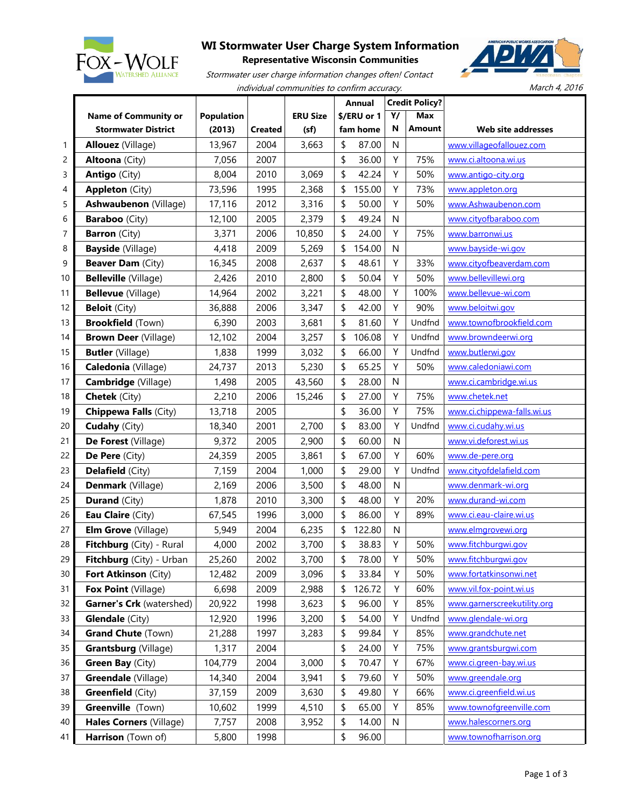

## **WI Stormwater User Charge System Information**

**Representative Wisconsin Communities**





March 4, 2016

|    |                                 |                   |                |                 | <b>Annual</b> |          | <b>Credit Policy?</b> |            |                             |
|----|---------------------------------|-------------------|----------------|-----------------|---------------|----------|-----------------------|------------|-----------------------------|
|    | <b>Name of Community or</b>     | <b>Population</b> |                | <b>ERU Size</b> | \$/ERU or 1   |          | Υ/                    | <b>Max</b> |                             |
|    | <b>Stormwater District</b>      | (2013)            | <b>Created</b> | (sf)            |               | fam home | N                     | Amount     | Web site addresses          |
| 1  | <b>Allouez</b> (Village)        | 13,967            | 2004           | 3,663           | \$            | 87.00    | N                     |            | www.villageofallouez.com    |
| 2  | <b>Altoona</b> (City)           | 7,056             | 2007           |                 | \$            | 36.00    | Υ                     | 75%        | www.ci.altoona.wi.us        |
| 3  | <b>Antigo (City)</b>            | 8,004             | 2010           | 3,069           | \$            | 42.24    | Υ                     | 50%        | www.antigo-city.org         |
| 4  | <b>Appleton (City)</b>          | 73,596            | 1995           | 2,368           | \$            | 155.00   | Υ                     | 73%        | www.appleton.org            |
| 5  | Ashwaubenon (Village)           | 17,116            | 2012           | 3,316           | \$            | 50.00    | Y                     | 50%        | www.Ashwaubenon.com         |
| 6  | <b>Baraboo</b> (City)           | 12,100            | 2005           | 2,379           | \$            | 49.24    | ${\sf N}$             |            | www.cityofbaraboo.com       |
| 7  | <b>Barron</b> (City)            | 3,371             | 2006           | 10,850          | \$            | 24.00    | Υ                     | 75%        | www.barronwi.us             |
| 8  | <b>Bayside</b> (Village)        | 4,418             | 2009           | 5,269           | \$            | 154.00   | $\mathsf{N}$          |            | www.bayside-wi.gov          |
| 9  | <b>Beaver Dam (City)</b>        | 16,345            | 2008           | 2,637           | \$            | 48.61    | Υ                     | 33%        | www.cityofbeaverdam.com     |
| 10 | <b>Belleville</b> (Village)     | 2,426             | 2010           | 2,800           | \$            | 50.04    | Υ                     | 50%        | www.bellevillewi.org        |
| 11 | <b>Bellevue</b> (Village)       | 14,964            | 2002           | 3,221           | \$            | 48.00    | Υ                     | 100%       | www.bellevue-wi.com         |
| 12 | <b>Beloit</b> (City)            | 36,888            | 2006           | 3,347           | \$            | 42.00    | Υ                     | 90%        | www.beloitwi.gov            |
| 13 | <b>Brookfield</b> (Town)        | 6,390             | 2003           | 3,681           | \$            | 81.60    | Y                     | Undfnd     | www.townofbrookfield.com    |
| 14 | <b>Brown Deer (Village)</b>     | 12,102            | 2004           | 3,257           | \$            | 106.08   | Υ                     | Undfnd     | www.browndeerwi.org         |
| 15 | <b>Butler</b> (Village)         | 1,838             | 1999           | 3,032           | \$            | 66.00    | Υ                     | Undfnd     | www.butlerwi.gov            |
| 16 | Caledonia (Village)             | 24,737            | 2013           | 5,230           | \$            | 65.25    | Υ                     | 50%        | www.caledoniawi.com         |
| 17 | Cambridge (Village)             | 1,498             | 2005           | 43,560          | \$            | 28.00    | $\mathsf{N}$          |            | www.ci.cambridge.wi.us      |
| 18 | <b>Chetek</b> (City)            | 2,210             | 2006           | 15,246          | \$            | 27.00    | Υ                     | 75%        | www.chetek.net              |
| 19 | <b>Chippewa Falls (City)</b>    | 13,718            | 2005           |                 | \$            | 36.00    | Υ                     | 75%        | www.ci.chippewa-falls.wi.us |
| 20 | <b>Cudahy</b> (City)            | 18,340            | 2001           | 2,700           | \$            | 83.00    | Υ                     | Undfnd     | www.ci.cudahy.wi.us         |
| 21 | De Forest (Village)             | 9,372             | 2005           | 2,900           | \$            | 60.00    | N                     |            | www.vi.deforest.wi.us       |
| 22 | De Pere (City)                  | 24,359            | 2005           | 3,861           | \$            | 67.00    | Υ                     | 60%        | www.de-pere.org             |
| 23 | <b>Delafield</b> (City)         | 7,159             | 2004           | 1,000           | \$            | 29.00    | Y                     | Undfnd     | www.cityofdelafield.com     |
| 24 | Denmark (Village)               | 2,169             | 2006           | 3,500           | \$            | 48.00    | N                     |            | www.denmark-wi.org          |
| 25 | <b>Durand</b> (City)            | 1,878             | 2010           | 3,300           | \$            | 48.00    | Υ                     | 20%        | www.durand-wi.com           |
| 26 | Eau Claire (City)               | 67,545            | 1996           | 3,000           | \$            | 86.00    | Υ                     | 89%        | www.ci.eau-claire.wi.us     |
| 27 | <b>Elm Grove</b> (Village)      | 5,949             | 2004           | 6,235           | \$            | 122.80   | ${\sf N}$             |            | www.elmgrovewi.org          |
| 28 | Fitchburg (City) - Rural        | 4,000             | 2002           | 3,700           | \$            | 38.83    | Υ                     | 50%        | www.fitchburgwi.gov         |
| 29 | Fitchburg (City) - Urban        | 25,260            | 2002           | 3,700           | \$            | 78.00    | Υ                     | 50%        | www.fitchburgwi.gov         |
| 30 | Fort Atkinson (City)            | 12,482            | 2009           | 3,096           | \$            | 33.84    | Υ                     | 50%        | www.fortatkinsonwi.net      |
| 31 | Fox Point (Village)             | 6,698             | 2009           | 2,988           | \$            | 126.72   | Υ                     | 60%        | www.vil.fox-point.wi.us     |
| 32 | <b>Garner's Crk</b> (watershed) | 20,922            | 1998           | 3,623           | \$            | 96.00    | Υ                     | 85%        | www.garnerscreekutility.org |
| 33 | <b>Glendale</b> (City)          | 12,920            | 1996           | 3,200           | \$            | 54.00    | Υ                     | Undfnd     | www.glendale-wi.org         |
| 34 | <b>Grand Chute (Town)</b>       | 21,288            | 1997           | 3,283           | \$            | 99.84    | Υ                     | 85%        | www.grandchute.net          |
| 35 | <b>Grantsburg</b> (Village)     | 1,317             | 2004           |                 | \$            | 24.00    | Υ                     | 75%        | www.grantsburgwi.com        |
| 36 | Green Bay (City)                | 104,779           | 2004           | 3,000           | \$            | 70.47    | Y                     | 67%        | www.ci.green-bay.wi.us      |
| 37 | Greendale (Village)             | 14,340            | 2004           | 3,941           | \$            | 79.60    | Υ                     | 50%        | www.greendale.org           |
| 38 | <b>Greenfield (City)</b>        | 37,159            | 2009           | 3,630           | \$            | 49.80    | Υ                     | 66%        | www.ci.greenfield.wi.us     |
| 39 | Greenville (Town)               | 10,602            | 1999           | 4,510           | \$            | 65.00    | Υ                     | 85%        | www.townofgreenville.com    |
| 40 | Hales Corners (Village)         | 7,757             | 2008           | 3,952           | \$            | 14.00    | $\mathsf{N}$          |            | www.halescorners.org        |
| 41 | Harrison (Town of)              | 5,800             | 1998           |                 | \$            | 96.00    |                       |            | www.townofharrison.org      |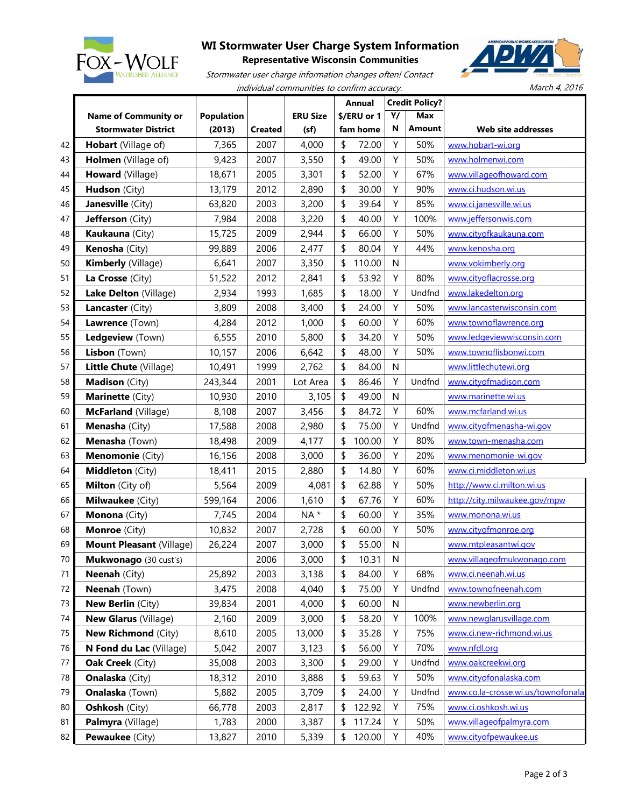

## **WI Stormwater User Charge System Information**



**Representative Wisconsin Communities** Stormwater user charge information changes often! Contact

individual communities to confirm accuracy.

March 4, 2016

|    |                                 |                   |                |                 | <b>Annual</b> |        |    | <b>Credit Policy?</b> |                                    |
|----|---------------------------------|-------------------|----------------|-----------------|---------------|--------|----|-----------------------|------------------------------------|
|    | <b>Name of Community or</b>     | <b>Population</b> |                | <b>ERU Size</b> | \$/ERU or 1   |        | Υ/ | <b>Max</b>            |                                    |
|    | <b>Stormwater District</b>      | (2013)            | <b>Created</b> | (sf)            | fam home      |        | N  | Amount                | Web site addresses                 |
| 42 | Hobart (Village of)             | 7,365             | 2007           | 4,000           | \$            | 72.00  | Υ  | 50%                   | www.hobart-wi.org                  |
| 43 | Holmen (Village of)             | 9,423             | 2007           | 3,550           | \$            | 49.00  | Υ  | 50%                   | www.holmenwi.com                   |
| 44 | Howard (Village)                | 18,671            | 2005           | 3,301           | \$            | 52.00  | Υ  | 67%                   | www.villageofhoward.com            |
| 45 | Hudson (City)                   | 13,179            | 2012           | 2,890           | \$            | 30.00  | Υ  | 90%                   | www.ci.hudson.wi.us                |
| 46 | Janesville (City)               | 63,820            | 2003           | 3,200           | \$            | 39.64  | Υ  | 85%                   | www.ci.janesville.wi.us            |
| 47 | Jefferson (City)                | 7,984             | 2008           | 3,220           | \$            | 40.00  | Υ  | 100%                  | www.jeffersonwis.com               |
| 48 | Kaukauna (City)                 | 15,725            | 2009           | 2,944           | \$            | 66.00  | Υ  | 50%                   | www.cityofkaukauna.com             |
| 49 | Kenosha (City)                  | 99,889            | 2006           | 2,477           | \$            | 80.04  | Υ  | 44%                   | www.kenosha.org                    |
| 50 | Kimberly (Village)              | 6,641             | 2007           | 3,350           | \$            | 110.00 | N  |                       | www.vokimberly.org                 |
| 51 | La Crosse (City)                | 51,522            | 2012           | 2,841           | \$            | 53.92  | Υ  | 80%                   | www.cityoflacrosse.org             |
| 52 | Lake Delton (Village)           | 2,934             | 1993           | 1,685           | \$            | 18.00  | Υ  | Undfnd                | www.lakedelton.org                 |
| 53 | Lancaster (City)                | 3,809             | 2008           | 3,400           | \$            | 24.00  | Υ  | 50%                   | www.lancasterwisconsin.com         |
| 54 | Lawrence (Town)                 | 4,284             | 2012           | 1,000           | \$            | 60.00  | Υ  | 60%                   | www.townoflawrence.org             |
| 55 | Ledgeview (Town)                | 6,555             | 2010           | 5,800           | \$            | 34.20  | Υ  | 50%                   | www.ledgeviewwisconsin.com         |
| 56 | Lisbon (Town)                   | 10,157            | 2006           | 6,642           | \$            | 48.00  | Υ  | 50%                   | www.townoflisbonwi.com             |
| 57 | Little Chute (Village)          | 10,491            | 1999           | 2,762           | \$            | 84.00  | N  |                       | www.littlechutewi.org              |
| 58 | Madison (City)                  | 243,344           | 2001           | Lot Area        | \$            | 86.46  | Υ  | Undfnd                | www.cityofmadison.com              |
| 59 | Marinette (City)                | 10,930            | 2010           | 3,105           | \$            | 49.00  | N  |                       | www.marinette.wi.us                |
| 60 | McFarland (Village)             | 8,108             | 2007           | 3,456           | \$            | 84.72  | Υ  | 60%                   | www.mcfarland.wi.us                |
| 61 | Menasha (City)                  | 17,588            | 2008           | 2,980           | \$            | 75.00  | Υ  | Undfnd                | www.cityofmenasha-wi.gov           |
| 62 | Menasha (Town)                  | 18,498            | 2009           | 4,177           | \$            | 100.00 | Υ  | 80%                   | www.town-menasha.com               |
| 63 | Menomonie (City)                | 16,156            | 2008           | 3,000           | \$            | 36.00  | Υ  | 20%                   | www.menomonie-wi.gov               |
| 64 | Middleton (City)                | 18,411            | 2015           | 2,880           | \$            | 14.80  | Υ  | 60%                   | www.ci.middleton.wi.us             |
| 65 | Milton (City of)                | 5,564             | 2009           | 4,081           | \$            | 62.88  | Υ  | 50%                   | http://www.ci.milton.wi.us         |
| 66 | Milwaukee (City)                | 599,164           | 2006           | 1,610           | \$            | 67.76  | Υ  | 60%                   | http://city.milwaukee.gov/mpw      |
| 67 | Monona (City)                   | 7,745             | 2004           | NA*             | \$            | 60.00  | Υ  | 35%                   | www.monona.wi.us                   |
| 68 | Monroe (City)                   | 10,832            | 2007           | 2,728           | \$            | 60.00  | Υ  | 50%                   | www.cityofmonroe.org               |
| 69 | <b>Mount Pleasant (Village)</b> | 26,224            | 2007           | 3,000           | \$            | 55.00  | N  |                       | www.mtpleasantwi.gov               |
| 70 | Mukwonago (30 cust's)           |                   | 2006           | 3,000           | \$            | 10.31  | N  |                       | www.villageofmukwonago.com         |
| 71 | <b>Neenah</b> (City)            | 25,892            | 2003           | 3,138           | \$            | 84.00  | Υ  | 68%                   | www.ci.neenah.wi.us                |
| 72 | Neenah (Town)                   | 3,475             | 2008           | 4,040           | \$            | 75.00  | Υ  | Undfnd                | www.townofneenah.com               |
| 73 | New Berlin (City)               | 39,834            | 2001           | 4,000           | \$            | 60.00  | N  |                       | www.newberlin.org                  |
| 74 | <b>New Glarus (Village)</b>     | 2,160             | 2009           | 3,000           | \$            | 58.20  | Υ  | 100%                  | www.newglarusvillage.com           |
| 75 | <b>New Richmond (City)</b>      | 8,610             | 2005           | 13,000          | \$            | 35.28  | Υ  | 75%                   | www.ci.new-richmond.wi.us          |
| 76 | N Fond du Lac (Village)         | 5,042             | 2007           | 3,123           | \$            | 56.00  | Υ  | 70%                   | www.nfdl.org                       |
| 77 | Oak Creek (City)                | 35,008            | 2003           | 3,300           | \$            | 29.00  | Υ  | Undfnd                | www.oakcreekwi.org                 |
| 78 | <b>Onalaska</b> (City)          | 18,312            | 2010           | 3,888           | \$            | 59.63  | Υ  | 50%                   | www.cityofonalaska.com             |
| 79 | <b>Onalaska</b> (Town)          | 5,882             | 2005           | 3,709           | \$            | 24.00  | Y  | Undfnd                | www.co.la-crosse.wi.us/townofonala |
| 80 | Oshkosh (City)                  | 66,778            | 2003           | 2,817           | \$            | 122.92 | Υ  | 75%                   | www.ci.oshkosh.wi.us               |
| 81 | Palmyra (Village)               | 1,783             | 2000           | 3,387           | \$            | 117.24 | Υ  | 50%                   | www.villageofpalmyra.com           |
| 82 | <b>Pewaukee</b> (City)          | 13,827            | 2010           | 5,339           | \$            | 120.00 | Υ  | 40%                   | www.cityofpewaukee.us              |